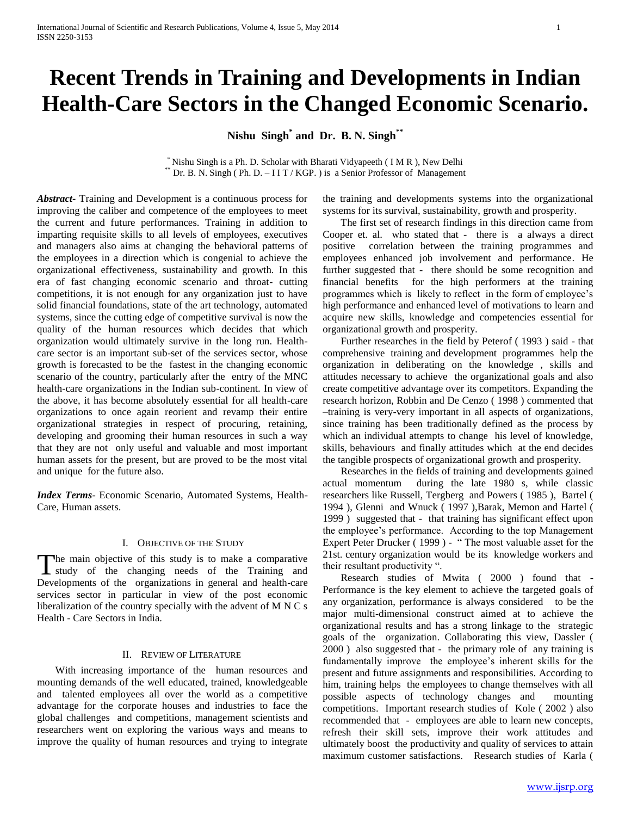# **Recent Trends in Training and Developments in Indian Health-Care Sectors in the Changed Economic Scenario.**

**Nishu Singh\* and Dr. B. N. Singh\*\***

\* Nishu Singh is a Ph. D. Scholar with Bharati Vidyapeeth ( I M R ), New Delhi \*\* Dr. B. N. Singh (Ph. D. – I I T / KGP.) is a Senior Professor of Management

*Abstract***-** Training and Development is a continuous process for improving the caliber and competence of the employees to meet the current and future performances. Training in addition to imparting requisite skills to all levels of employees, executives and managers also aims at changing the behavioral patterns of the employees in a direction which is congenial to achieve the organizational effectiveness, sustainability and growth. In this era of fast changing economic scenario and throat- cutting competitions, it is not enough for any organization just to have solid financial foundations, state of the art technology, automated systems, since the cutting edge of competitive survival is now the quality of the human resources which decides that which organization would ultimately survive in the long run. Healthcare sector is an important sub-set of the services sector, whose growth is forecasted to be the fastest in the changing economic scenario of the country, particularly after the entry of the MNC health-care organizations in the Indian sub-continent. In view of the above, it has become absolutely essential for all health-care organizations to once again reorient and revamp their entire organizational strategies in respect of procuring, retaining, developing and grooming their human resources in such a way that they are not only useful and valuable and most important human assets for the present, but are proved to be the most vital and unique for the future also.

*Index Terms*- Economic Scenario, Automated Systems, Health-Care, Human assets.

#### I. OBJECTIVE OF THE STUDY

The main objective of this study is to make a comparative The main objective of this study is to make a comparative<br>study of the changing needs of the Training and Developments of the organizations in general and health-care services sector in particular in view of the post economic liberalization of the country specially with the advent of M N C s Health - Care Sectors in India.

# II. REVIEW OF LITERATURE

 With increasing importance of the human resources and mounting demands of the well educated, trained, knowledgeable and talented employees all over the world as a competitive advantage for the corporate houses and industries to face the global challenges and competitions, management scientists and researchers went on exploring the various ways and means to improve the quality of human resources and trying to integrate

the training and developments systems into the organizational systems for its survival, sustainability, growth and prosperity.

 The first set of research findings in this direction came from Cooper et. al. who stated that - there is a always a direct positive correlation between the training programmes and employees enhanced job involvement and performance. He further suggested that - there should be some recognition and financial benefits for the high performers at the training programmes which is likely to reflect in the form of employee's high performance and enhanced level of motivations to learn and acquire new skills, knowledge and competencies essential for organizational growth and prosperity.

 Further researches in the field by Peterof ( 1993 ) said - that comprehensive training and development programmes help the organization in deliberating on the knowledge , skills and attitudes necessary to achieve the organizational goals and also create competitive advantage over its competitors. Expanding the research horizon, Robbin and De Cenzo ( 1998 ) commented that –training is very-very important in all aspects of organizations, since training has been traditionally defined as the process by which an individual attempts to change his level of knowledge, skills, behaviours and finally attitudes which at the end decides the tangible prospects of organizational growth and prosperity.

 Researches in the fields of training and developments gained actual momentum during the late 1980 s, while classic researchers like Russell, Tergberg and Powers ( 1985 ), Bartel ( 1994 ), Glenni and Wnuck ( 1997 ),Barak, Memon and Hartel ( 1999 ) suggested that - that training has significant effect upon the employee's performance. According to the top Management Expert Peter Drucker ( 1999 ) - " The most valuable asset for the 21st. century organization would be its knowledge workers and their resultant productivity ".

 Research studies of Mwita ( 2000 ) found that - Performance is the key element to achieve the targeted goals of any organization, performance is always considered to be the major multi-dimensional construct aimed at to achieve the organizational results and has a strong linkage to the strategic goals of the organization. Collaborating this view, Dassler ( 2000 ) also suggested that - the primary role of any training is fundamentally improve the employee's inherent skills for the present and future assignments and responsibilities. According to him, training helps the employees to change themselves with all possible aspects of technology changes and mounting competitions. Important research studies of Kole ( 2002 ) also recommended that - employees are able to learn new concepts, refresh their skill sets, improve their work attitudes and ultimately boost the productivity and quality of services to attain maximum customer satisfactions. Research studies of Karla (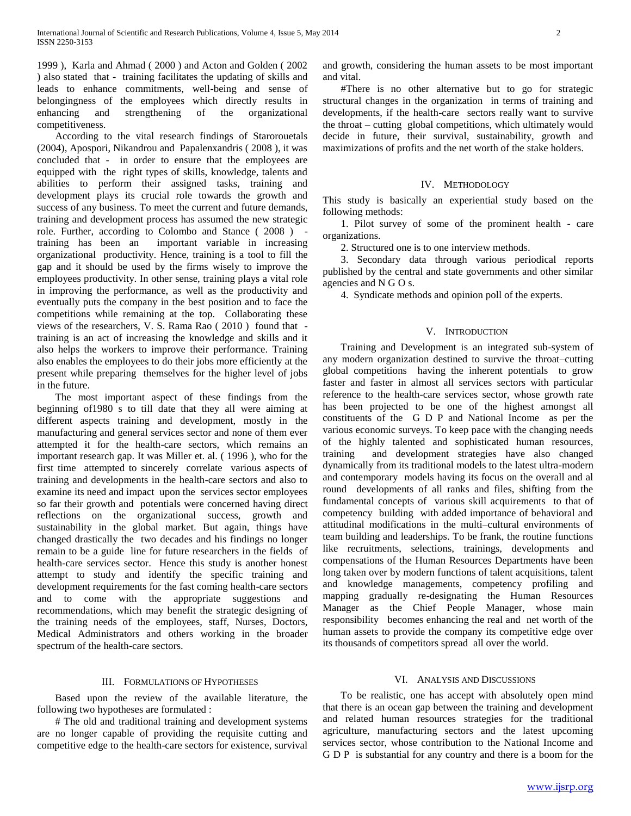1999 ), Karla and Ahmad ( 2000 ) and Acton and Golden ( 2002 ) also stated that - training facilitates the updating of skills and leads to enhance commitments, well-being and sense of belongingness of the employees which directly results in enhancing and strengthening of the organizational competitiveness.

 According to the vital research findings of Starorouetals (2004), Apospori, Nikandrou and Papalenxandris ( 2008 ), it was concluded that - in order to ensure that the employees are equipped with the right types of skills, knowledge, talents and abilities to perform their assigned tasks, training and development plays its crucial role towards the growth and success of any business. To meet the current and future demands, training and development process has assumed the new strategic role. Further, according to Colombo and Stance ( 2008 ) training has been an important variable in increasing organizational productivity. Hence, training is a tool to fill the gap and it should be used by the firms wisely to improve the employees productivity. In other sense, training plays a vital role in improving the performance, as well as the productivity and eventually puts the company in the best position and to face the competitions while remaining at the top. Collaborating these views of the researchers, V. S. Rama Rao ( 2010 ) found that training is an act of increasing the knowledge and skills and it also helps the workers to improve their performance. Training also enables the employees to do their jobs more efficiently at the present while preparing themselves for the higher level of jobs in the future.

 The most important aspect of these findings from the beginning of1980 s to till date that they all were aiming at different aspects training and development, mostly in the manufacturing and general services sector and none of them ever attempted it for the health-care sectors, which remains an important research gap. It was Miller et. al. ( 1996 ), who for the first time attempted to sincerely correlate various aspects of training and developments in the health-care sectors and also to examine its need and impact upon the services sector employees so far their growth and potentials were concerned having direct reflections on the organizational success, growth and sustainability in the global market. But again, things have changed drastically the two decades and his findings no longer remain to be a guide line for future researchers in the fields of health-care services sector. Hence this study is another honest attempt to study and identify the specific training and development requirements for the fast coming health-care sectors and to come with the appropriate suggestions and recommendations, which may benefit the strategic designing of the training needs of the employees, staff, Nurses, Doctors, Medical Administrators and others working in the broader spectrum of the health-care sectors.

## III. FORMULATIONS OF HYPOTHESES

 Based upon the review of the available literature, the following two hypotheses are formulated :

 # The old and traditional training and development systems are no longer capable of providing the requisite cutting and competitive edge to the health-care sectors for existence, survival

and growth, considering the human assets to be most important and vital.

 #There is no other alternative but to go for strategic structural changes in the organization in terms of training and developments, if the health-care sectors really want to survive the throat – cutting global competitions, which ultimately would decide in future, their survival, sustainability, growth and maximizations of profits and the net worth of the stake holders.

# IV. METHODOLOGY

This study is basically an experiential study based on the following methods:

 1. Pilot survey of some of the prominent health - care organizations.

2. Structured one is to one interview methods.

 3. Secondary data through various periodical reports published by the central and state governments and other similar agencies and N G O s.

4. Syndicate methods and opinion poll of the experts.

#### V. INTRODUCTION

 Training and Development is an integrated sub-system of any modern organization destined to survive the throat–cutting global competitions having the inherent potentials to grow faster and faster in almost all services sectors with particular reference to the health-care services sector, whose growth rate has been projected to be one of the highest amongst all constituents of the G D P and National Income as per the various economic surveys. To keep pace with the changing needs of the highly talented and sophisticated human resources, training and development strategies have also changed dynamically from its traditional models to the latest ultra-modern and contemporary models having its focus on the overall and al round developments of all ranks and files, shifting from the fundamental concepts of various skill acquirements to that of competency building with added importance of behavioral and attitudinal modifications in the multi–cultural environments of team building and leaderships. To be frank, the routine functions like recruitments, selections, trainings, developments and compensations of the Human Resources Departments have been long taken over by modern functions of talent acquisitions, talent and knowledge managements, competency profiling and mapping gradually re-designating the Human Resources Manager as the Chief People Manager, whose main responsibility becomes enhancing the real and net worth of the human assets to provide the company its competitive edge over its thousands of competitors spread all over the world.

## VI. ANALYSIS AND DISCUSSIONS

 To be realistic, one has accept with absolutely open mind that there is an ocean gap between the training and development and related human resources strategies for the traditional agriculture, manufacturing sectors and the latest upcoming services sector, whose contribution to the National Income and G D P is substantial for any country and there is a boom for the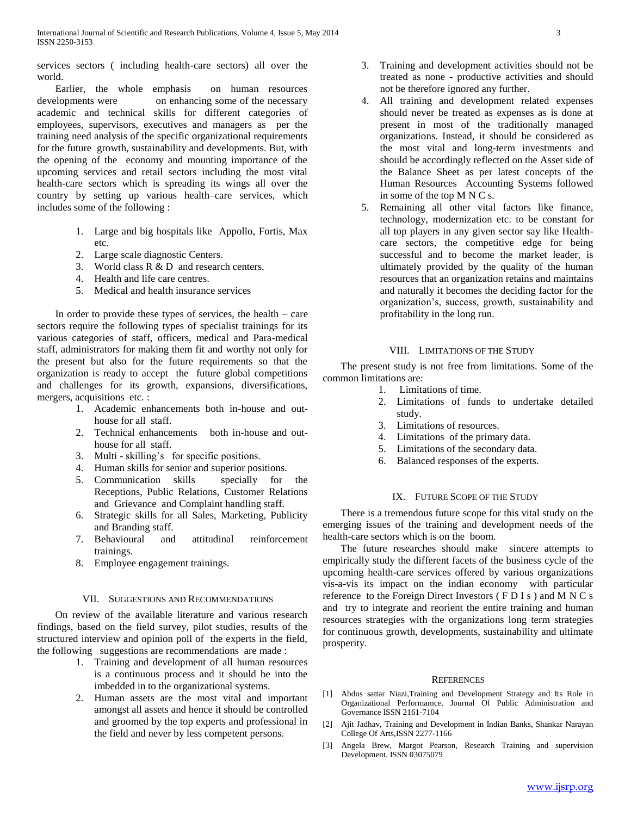services sectors ( including health-care sectors) all over the world.

 Earlier, the whole emphasis on human resources developments were on enhancing some of the necessary academic and technical skills for different categories of employees, supervisors, executives and managers as per the training need analysis of the specific organizational requirements for the future growth, sustainability and developments. But, with the opening of the economy and mounting importance of the upcoming services and retail sectors including the most vital health-care sectors which is spreading its wings all over the country by setting up various health–care services, which includes some of the following :

- 1. Large and big hospitals like Appollo, Fortis, Max etc.
- 2. Large scale diagnostic Centers.
- 3. World class R & D and research centers.
- 4. Health and life care centres.
- 5. Medical and health insurance services

 In order to provide these types of services, the health – care sectors require the following types of specialist trainings for its various categories of staff, officers, medical and Para-medical staff, administrators for making them fit and worthy not only for the present but also for the future requirements so that the organization is ready to accept the future global competitions and challenges for its growth, expansions, diversifications, mergers, acquisitions etc. :

- 1. Academic enhancements both in-house and outhouse for all staff.
- 2. Technical enhancements both in-house and outhouse for all staff.
- 3. Multi skilling's for specific positions.
- 4. Human skills for senior and superior positions.
- 5. Communication skills specially for the Receptions, Public Relations, Customer Relations and Grievance and Complaint handling staff.
- 6. Strategic skills for all Sales, Marketing, Publicity and Branding staff.
- 7. Behavioural and attitudinal reinforcement trainings.
- 8. Employee engagement trainings.

## VII. SUGGESTIONS AND RECOMMENDATIONS

 On review of the available literature and various research findings, based on the field survey, pilot studies, results of the structured interview and opinion poll of the experts in the field, the following suggestions are recommendations are made :

- 1. Training and development of all human resources is a continuous process and it should be into the imbedded in to the organizational systems.
- 2. Human assets are the most vital and important amongst all assets and hence it should be controlled and groomed by the top experts and professional in the field and never by less competent persons.
- 3. Training and development activities should not be treated as none - productive activities and should not be therefore ignored any further.
- 4. All training and development related expenses should never be treated as expenses as is done at present in most of the traditionally managed organizations. Instead, it should be considered as the most vital and long-term investments and should be accordingly reflected on the Asset side of the Balance Sheet as per latest concepts of the Human Resources Accounting Systems followed in some of the top M N C s.
- 5. Remaining all other vital factors like finance, technology, modernization etc. to be constant for all top players in any given sector say like Healthcare sectors, the competitive edge for being successful and to become the market leader, is ultimately provided by the quality of the human resources that an organization retains and maintains and naturally it becomes the deciding factor for the organization's, success, growth, sustainability and profitability in the long run.

## VIII. LIMITATIONS OF THE STUDY

 The present study is not free from limitations. Some of the common limitations are:

- 1. Limitations of time.
- 2. Limitations of funds to undertake detailed study.
- 3. Limitations of resources.
- 4. Limitations of the primary data.
- 5. Limitations of the secondary data.
- 6. Balanced responses of the experts.

# IX. FUTURE SCOPE OF THE STUDY

 There is a tremendous future scope for this vital study on the emerging issues of the training and development needs of the health-care sectors which is on the boom.

 The future researches should make sincere attempts to empirically study the different facets of the business cycle of the upcoming health-care services offered by various organizations vis-a-vis its impact on the indian economy with particular reference to the Foreign Direct Investors ( F D I s ) and M N C s and try to integrate and reorient the entire training and human resources strategies with the organizations long term strategies for continuous growth, developments, sustainability and ultimate prosperity.

#### **REFERENCES**

- [1] Abdus sattar Niazi,Training and Development Strategy and Its Role in Organizational Performamce. Journal Of Public Administration and Governance ISSN 2161-7104
- [2] Ajit Jadhav, Training and Development in Indian Banks, Shankar Narayan College Of Arts,ISSN 2277-1166
- [3] Angela Brew, Margot Pearson, Research Training and supervision Development. ISSN 03075079